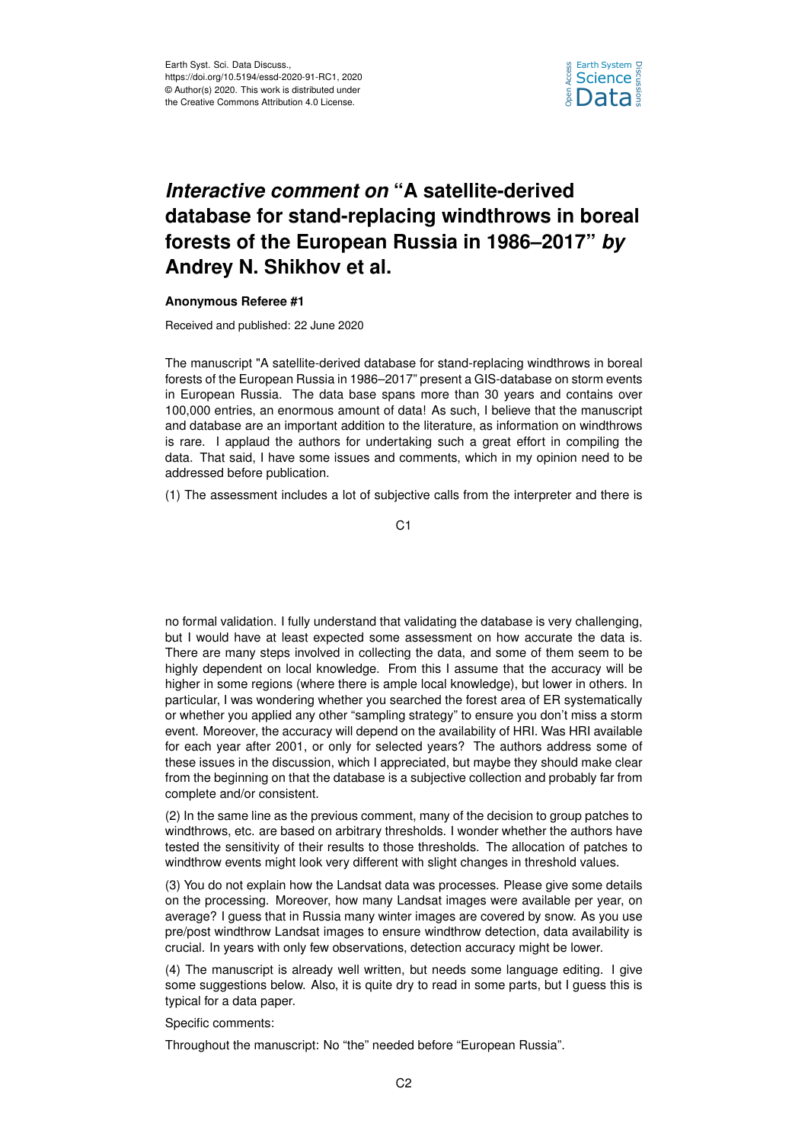

## *Interactive comment on* **"A satellite-derived database for stand-replacing windthrows in boreal forests of the European Russia in 1986–2017"** *by* **Andrey N. Shikhov et al.**

## **Anonymous Referee #1**

Received and published: 22 June 2020

The manuscript "A satellite-derived database for stand-replacing windthrows in boreal forests of the European Russia in 1986–2017" present a GIS-database on storm events in European Russia. The data base spans more than 30 years and contains over 100,000 entries, an enormous amount of data! As such, I believe that the manuscript and database are an important addition to the literature, as information on windthrows is rare. I applaud the authors for undertaking such a great effort in compiling the data. That said, I have some issues and comments, which in my opinion need to be addressed before publication.

(1) The assessment includes a lot of subjective calls from the interpreter and there is

C<sub>1</sub>

no formal validation. I fully understand that validating the database is very challenging, but I would have at least expected some assessment on how accurate the data is. There are many steps involved in collecting the data, and some of them seem to be highly dependent on local knowledge. From this I assume that the accuracy will be higher in some regions (where there is ample local knowledge), but lower in others. In particular, I was wondering whether you searched the forest area of ER systematically or whether you applied any other "sampling strategy" to ensure you don't miss a storm event. Moreover, the accuracy will depend on the availability of HRI. Was HRI available for each year after 2001, or only for selected years? The authors address some of these issues in the discussion, which I appreciated, but maybe they should make clear from the beginning on that the database is a subjective collection and probably far from complete and/or consistent.

(2) In the same line as the previous comment, many of the decision to group patches to windthrows, etc. are based on arbitrary thresholds. I wonder whether the authors have tested the sensitivity of their results to those thresholds. The allocation of patches to windthrow events might look very different with slight changes in threshold values.

(3) You do not explain how the Landsat data was processes. Please give some details on the processing. Moreover, how many Landsat images were available per year, on average? I guess that in Russia many winter images are covered by snow. As you use pre/post windthrow Landsat images to ensure windthrow detection, data availability is crucial. In years with only few observations, detection accuracy might be lower.

(4) The manuscript is already well written, but needs some language editing. I give some suggestions below. Also, it is quite dry to read in some parts, but I guess this is typical for a data paper.

Specific comments:

Throughout the manuscript: No "the" needed before "European Russia".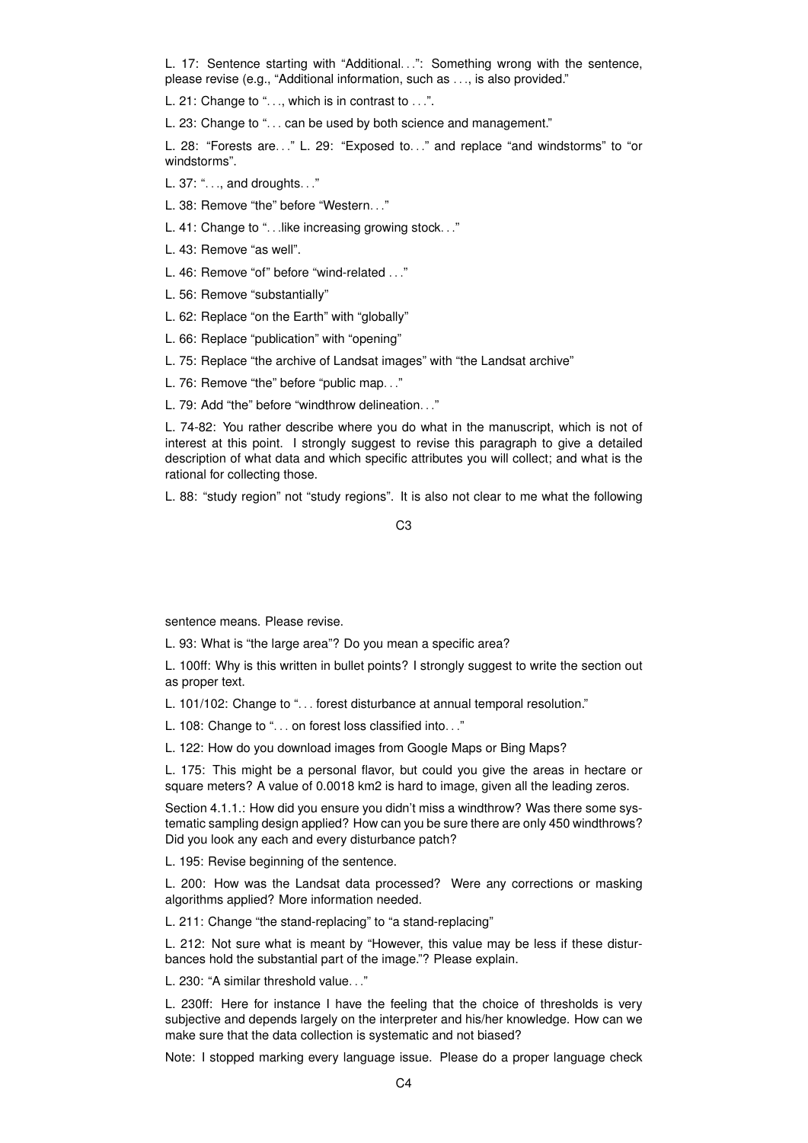L. 17: Sentence starting with "Additional...": Something wrong with the sentence, please revise (e.g., "Additional information, such as . . ., is also provided."

L. 21: Change to "..., which is in contrast to ...".

L. 23: Change to "... can be used by both science and management."

L. 28: "Forests are..." L. 29: "Exposed to..." and replace "and windstorms" to "or windstorms".

L. 37: ". . ., and droughts. . ."

L. 38: Remove "the" before "Western. . ."

L. 41: Change to ". . .like increasing growing stock. . ."

L. 43: Remove "as well".

L. 46: Remove "of" before "wind-related . . ."

L. 56: Remove "substantially"

L. 62: Replace "on the Earth" with "globally"

L. 66: Replace "publication" with "opening"

L. 75: Replace "the archive of Landsat images" with "the Landsat archive"

L. 76: Remove "the" before "public map. . ."

L. 79: Add "the" before "windthrow delineation. . ."

L. 74-82: You rather describe where you do what in the manuscript, which is not of interest at this point. I strongly suggest to revise this paragraph to give a detailed description of what data and which specific attributes you will collect; and what is the rational for collecting those.

L. 88: "study region" not "study regions". It is also not clear to me what the following

 $C<sub>3</sub>$ 

sentence means. Please revise.

L. 93: What is "the large area"? Do you mean a specific area?

L. 100ff: Why is this written in bullet points? I strongly suggest to write the section out as proper text.

L. 101/102: Change to "... forest disturbance at annual temporal resolution."

L. 108: Change to ". . . on forest loss classified into. . ."

L. 122: How do you download images from Google Maps or Bing Maps?

L. 175: This might be a personal flavor, but could you give the areas in hectare or square meters? A value of 0.0018 km2 is hard to image, given all the leading zeros.

Section 4.1.1.: How did you ensure you didn't miss a windthrow? Was there some systematic sampling design applied? How can you be sure there are only 450 windthrows? Did you look any each and every disturbance patch?

L. 195: Revise beginning of the sentence.

L. 200: How was the Landsat data processed? Were any corrections or masking algorithms applied? More information needed.

L. 211: Change "the stand-replacing" to "a stand-replacing"

L. 212: Not sure what is meant by "However, this value may be less if these disturbances hold the substantial part of the image."? Please explain.

L. 230: "A similar threshold value. . ."

L. 230ff: Here for instance I have the feeling that the choice of thresholds is very subjective and depends largely on the interpreter and his/her knowledge. How can we make sure that the data collection is systematic and not biased?

Note: I stopped marking every language issue. Please do a proper language check